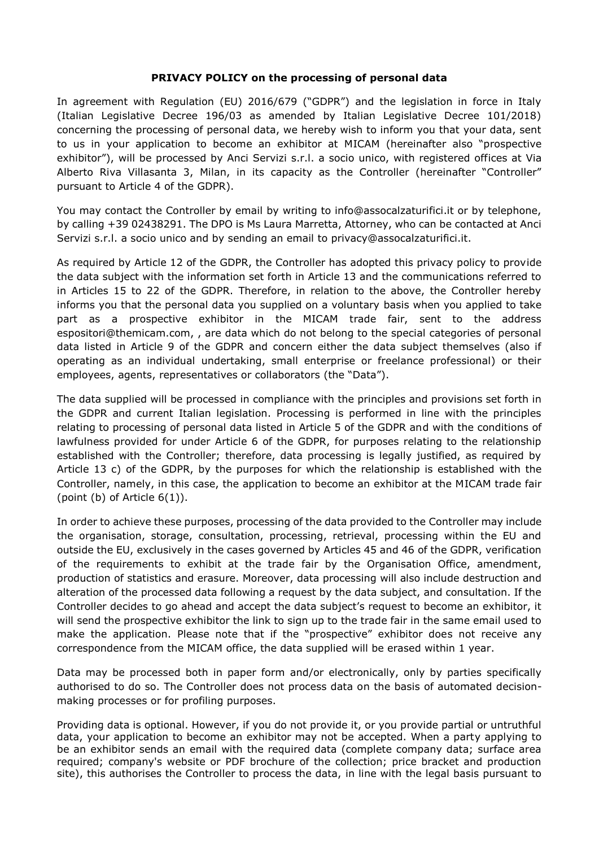## **PRIVACY POLICY on the processing of personal data**

In agreement with Regulation (EU) 2016/679 ("GDPR") and the legislation in force in Italy (Italian Legislative Decree 196/03 as amended by Italian Legislative Decree 101/2018) concerning the processing of personal data, we hereby wish to inform you that your data, sent to us in your application to become an exhibitor at MICAM (hereinafter also "prospective exhibitor"), will be processed by Anci Servizi s.r.l. a socio unico, with registered offices at Via Alberto Riva Villasanta 3, Milan, in its capacity as the Controller (hereinafter "Controller" pursuant to Article 4 of the GDPR).

You may contact the Controller by email by writing to info@assocalzaturifici.it or by telephone, by calling +39 02438291. The DPO is Ms Laura Marretta, Attorney, who can be contacted at Anci Servizi s.r.l. a socio unico and by sending an email to privacy@assocalzaturifici.it.

As required by Article 12 of the GDPR, the Controller has adopted this privacy policy to provide the data subject with the information set forth in Article 13 and the communications referred to in Articles 15 to 22 of the GDPR. Therefore, in relation to the above, the Controller hereby informs you that the personal data you supplied on a voluntary basis when you applied to take part as a prospective exhibitor in the MICAM trade fair, sent to the address [espositori@themicam.com,](mailto:espositori@themicam.com) , are data which do not belong to the special categories of personal data listed in Article 9 of the GDPR and concern either the data subject themselves (also if operating as an individual undertaking, small enterprise or freelance professional) or their employees, agents, representatives or collaborators (the "Data").

The data supplied will be processed in compliance with the principles and provisions set forth in the GDPR and current Italian legislation. Processing is performed in line with the principles relating to processing of personal data listed in Article 5 of the GDPR and with the conditions of lawfulness provided for under Article 6 of the GDPR, for purposes relating to the relationship established with the Controller; therefore, data processing is legally justified, as required by Article 13 c) of the GDPR, by the purposes for which the relationship is established with the Controller, namely, in this case, the application to become an exhibitor at the MICAM trade fair (point (b) of Article 6(1)).

In order to achieve these purposes, processing of the data provided to the Controller may include the organisation, storage, consultation, processing, retrieval, processing within the EU and outside the EU, exclusively in the cases governed by Articles 45 and 46 of the GDPR, verification of the requirements to exhibit at the trade fair by the Organisation Office, amendment, production of statistics and erasure. Moreover, data processing will also include destruction and alteration of the processed data following a request by the data subject, and consultation. If the Controller decides to go ahead and accept the data subject's request to become an exhibitor, it will send the prospective exhibitor the link to sign up to the trade fair in the same email used to make the application. Please note that if the "prospective" exhibitor does not receive any correspondence from the MICAM office, the data supplied will be erased within 1 year.

Data may be processed both in paper form and/or electronically, only by parties specifically authorised to do so. The Controller does not process data on the basis of automated decisionmaking processes or for profiling purposes.

Providing data is optional. However, if you do not provide it, or you provide partial or untruthful data, your application to become an exhibitor may not be accepted. When a party applying to be an exhibitor sends an email with the required data (complete company data; surface area required; company's website or PDF brochure of the collection; price bracket and production site), this authorises the Controller to process the data, in line with the legal basis pursuant to